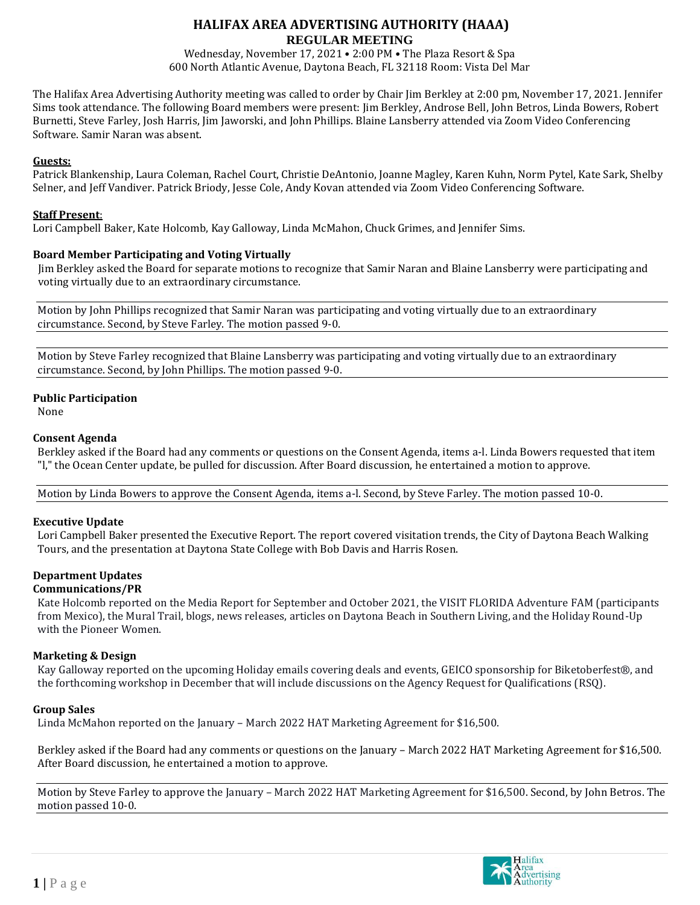# **HALIFAX AREA ADVERTISING AUTHORITY (HAAA) REGULAR MEETING**

Wednesday, November 17, 2021 • 2:00 PM • The Plaza Resort & Spa 600 North Atlantic Avenue, Daytona Beach, FL 32118 Room: Vista Del Mar

The Halifax Area Advertising Authority meeting was called to order by Chair Jim Berkley at 2:00 pm, November 17, 2021. Jennifer Sims took attendance. The following Board members were present: Jim Berkley, Androse Bell, John Betros, Linda Bowers, Robert Burnetti, Steve Farley, Josh Harris, Jim Jaworski, and John Phillips. Blaine Lansberry attended via Zoom Video Conferencing Software. Samir Naran was absent.

#### **Guests:**

Patrick Blankenship, Laura Coleman, Rachel Court, Christie DeAntonio, Joanne Magley, Karen Kuhn, Norm Pytel, Kate Sark, Shelby Selner, and Jeff Vandiver. Patrick Briody, Jesse Cole, Andy Kovan attended via Zoom Video Conferencing Software.

## **Staff Present**:

Lori Campbell Baker, Kate Holcomb, Kay Galloway, Linda McMahon, Chuck Grimes, and Jennifer Sims.

#### **Board Member Participating and Voting Virtually**

Jim Berkley asked the Board for separate motions to recognize that Samir Naran and Blaine Lansberry were participating and voting virtually due to an extraordinary circumstance.

Motion by John Phillips recognized that Samir Naran was participating and voting virtually due to an extraordinary circumstance. Second, by Steve Farley. The motion passed 9-0.

Motion by Steve Farley recognized that Blaine Lansberry was participating and voting virtually due to an extraordinary circumstance. Second, by John Phillips. The motion passed 9-0.

#### **Public Participation**

None

#### **Consent Agenda**

Berkley asked if the Board had any comments or questions on the Consent Agenda, items a-l. Linda Bowers requested that item "l," the Ocean Center update, be pulled for discussion. After Board discussion, he entertained a motion to approve.

Motion by Linda Bowers to approve the Consent Agenda, items a-l. Second, by Steve Farley. The motion passed 10-0.

#### **Executive Update**

Lori Campbell Baker presented the Executive Report. The report covered visitation trends, the City of Daytona Beach Walking Tours, and the presentation at Daytona State College with Bob Davis and Harris Rosen.

## **Department Updates**

#### **Communications/PR**

Kate Holcomb reported on the Media Report for September and October 2021, the VISIT FLORIDA Adventure FAM (participants from Mexico), the Mural Trail, blogs, news releases, articles on Daytona Beach in Southern Living, and the Holiday Round-Up with the Pioneer Women.

#### **Marketing & Design**

Kay Galloway reported on the upcoming Holiday emails covering deals and events, GEICO sponsorship for Biketoberfest®, and the forthcoming workshop in December that will include discussions on the Agency Request for Qualifications (RSQ).

#### **Group Sales**

Linda McMahon reported on the January – March 2022 HAT Marketing Agreement for \$16,500.

Berkley asked if the Board had any comments or questions on the January – March 2022 HAT Marketing Agreement for \$16,500. After Board discussion, he entertained a motion to approve.

Motion by Steve Farley to approve the January – March 2022 HAT Marketing Agreement for \$16,500. Second, by John Betros. The motion passed 10-0.